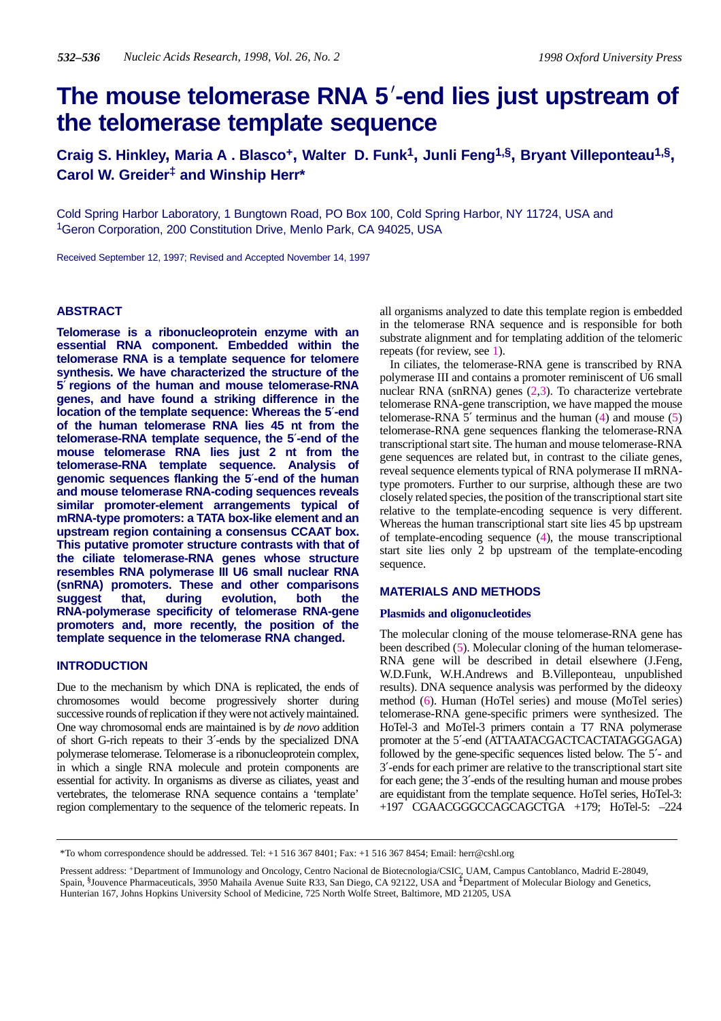# **The mouse telomerase RNA 5-end lies just upstream of the telomerase template sequence**

**Craig S. Hinkley, Maria A . Blasco+, Walter D. Funk1, Junli Feng1,§, Bryant Villeponteau1,§, Carol W. Greider‡ and Winship Herr\***

Cold Spring Harbor Laboratory, 1 Bungtown Road, PO Box 100, Cold Spring Harbor, NY 11724, USA and 1Geron Corporation, 200 Constitution Drive, Menlo Park, CA 94025, USA

Received September 12, 1997; Revised and Accepted November 14, 1997

# **ABSTRACT**

**Telomerase is a ribonucleoprotein enzyme with an essential RNA component. Embedded within the telomerase RNA is a template sequence for telomere synthesis. We have characterized the structure of the 5**′ **regions of the human and mouse telomerase-RNA genes, and have found a striking difference in the location of the template sequence: Whereas the 5**′**-end of the human telomerase RNA lies 45 nt from the telomerase-RNA template sequence, the 5**′**-end of the mouse telomerase RNA lies just 2 nt from the telomerase-RNA template sequence. Analysis of genomic sequences flanking the 5**′**-end of the human and mouse telomerase RNA-coding sequences reveals similar promoter-element arrangements typical of mRNA-type promoters: a TATA box-like element and an upstream region containing a consensus CCAAT box. This putative promoter structure contrasts with that of the ciliate telomerase-RNA genes whose structure resembles RNA polymerase III U6 small nuclear RNA (snRNA) promoters. These and other comparisons suggest that, during evolution, both the RNA-polymerase specificity of telomerase RNA-gene promoters and, more recently, the position of the template sequence in the telomerase RNA changed.**

# **INTRODUCTION**

Due to the mechanism by which DNA is replicated, the ends of chromosomes would become progressively shorter during successive rounds of replication if they were not actively maintained. One way chromosomal ends are maintained is by *de novo* addition of short G-rich repeats to their 3′-ends by the specialized DNA polymerase telomerase. Telomerase is a ribonucleoprotein complex, in which a single RNA molecule and protein components are essential for activity. In organisms as diverse as ciliates, yeast and vertebrates, the telomerase RNA sequence contains a 'template' region complementary to the sequence of the telomeric repeats. In all organisms analyzed to date this template region is embedded in the telomerase RNA sequence and is responsible for both substrate alignment and for templating addition of the telomeric repeats (for review, see 1).

In ciliates, the telomerase-RNA gene is transcribed by RNA polymerase III and contains a promoter reminiscent of U6 small nuclear RNA (snRNA) genes (2,3). To characterize vertebrate telomerase RNA-gene transcription, we have mapped the mouse telomerase-RNA  $5'$  terminus and the human  $(4)$  and mouse  $(5)$ telomerase-RNA gene sequences flanking the telomerase-RNA transcriptional start site. The human and mouse telomerase-RNA gene sequences are related but, in contrast to the ciliate genes, reveal sequence elements typical of RNA polymerase II mRNAtype promoters. Further to our surprise, although these are two closely related species, the position of the transcriptional start site relative to the template-encoding sequence is very different. Whereas the human transcriptional start site lies 45 bp upstream of template-encoding sequence (4), the mouse transcriptional start site lies only 2 bp upstream of the template-encoding sequence.

## **MATERIALS AND METHODS**

#### **Plasmids and oligonucleotides**

The molecular cloning of the mouse telomerase-RNA gene has been described (5). Molecular cloning of the human telomerase-RNA gene will be described in detail elsewhere (J.Feng, W.D.Funk, W.H.Andrews and B.Villeponteau, unpublished results). DNA sequence analysis was performed by the dideoxy method (6). Human (HoTel series) and mouse (MoTel series) telomerase-RNA gene-specific primers were synthesized. The HoTel-3 and MoTel-3 primers contain a T7 RNA polymerase promoter at the 5′-end (ATTAATACGACTCACTATAGGGAGA) followed by the gene-specific sequences listed below. The 5′- and 3′-ends for each primer are relative to the transcriptional start site for each gene; the 3′-ends of the resulting human and mouse probes are equidistant from the template sequence. HoTel series, HoTel-3: +197 CGAACGGGCCAGCAGCTGA +179; HoTel-5: –224

<sup>\*</sup>To whom correspondence should be addressed. Tel: +1 516 367 8401; Fax: +1 516 367 8454; Email: herr@cshl.org

Pressent address: +Department of Immunology and Oncology, Centro Nacional de Biotecnologia/CSIC, UAM, Campus Cantoblanco, Madrid E-28049, Spain, §Jouvence Pharmaceuticals, 3950 Mahaila Avenue Suite R33, San Diego, CA 92122, USA and <sup>‡</sup>Department of Molecular Biology and Genetics, Hunterian 167, Johns Hopkins University School of Medicine, 725 North Wolfe Street, Baltimore, MD 21205, USA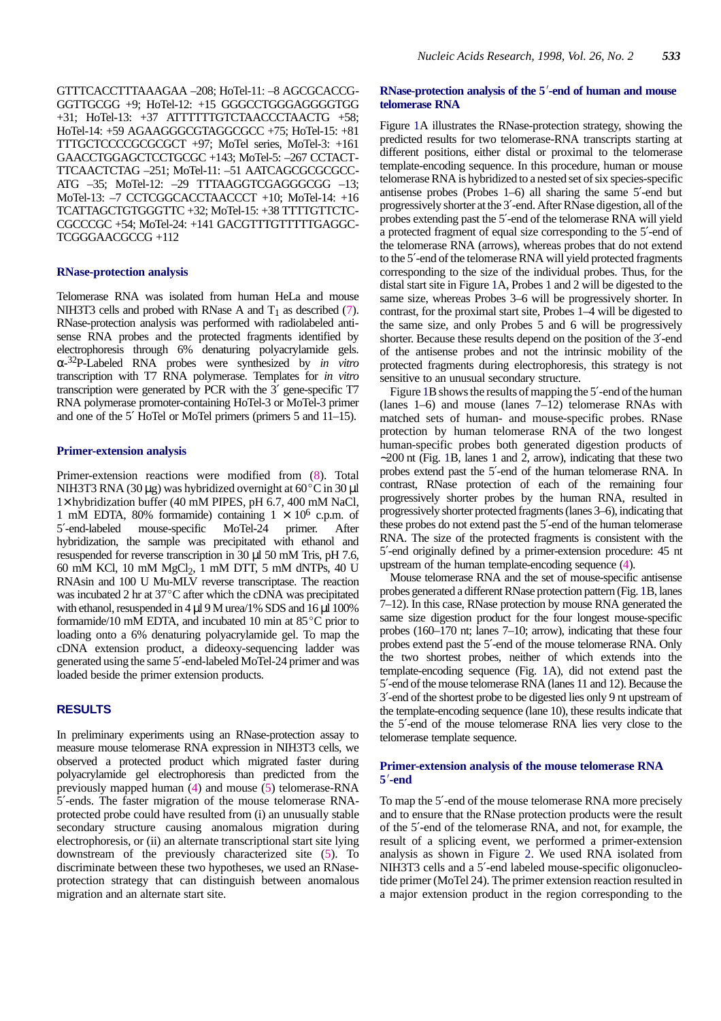GTTTCACCTTTAAAGAA –208; HoTel-11: –8 AGCGCACCG-GGTTGCGG +9; HoTel-12: +15 GGGCCTGGGAGGGGTGG +31; HoTel-13: +37 ATTTTTTGTCTAACCCTAACTG +58; HoTel-14: +59 AGAAGGGCGTAGGCGCC +75; HoTel-15: +81 TTTGCTCCCCGCGCGCT +97; MoTel series, MoTel-3: +161 GAACCTGGAGCTCCTGCGC +143; MoTel-5: –267 CCTACT-TTCAACTCTAG –251; MoTel-11: –51 AATCAGCGCGCGCC-ATG -35; MoTel-12: -29 TTTAAGGTCGAGGGCGG -13; MoTel-13: –7 CCTCGGCACCTAACCCT +10; MoTel-14: +16 TCATTAGCTGTGGGTTC +32; MoTel-15: +38 TTTTGTTCTC-CGCCCGC +54; MoTel-24: +141 GACGTTTGTTTTTGAGGC-TCGGGAACGCCG +112

#### **RNase-protection analysis**

Telomerase RNA was isolated from human HeLa and mouse NIH3T3 cells and probed with RNase A and  $T_1$  as described (7). RNase-protection analysis was performed with radiolabeled antisense RNA probes and the protected fragments identified by electrophoresis through 6% denaturing polyacrylamide gels. α-32P-Labeled RNA probes were synthesized by *in vitro* transcription with T7 RNA polymerase. Templates for *in vitro* transcription were generated by PCR with the  $3'$  gene-specific T7 RNA polymerase promoter-containing HoTel-3 or MoTel-3 primer and one of the 5′ HoTel or MoTel primers (primers 5 and 11–15).

#### **Primer-extension analysis**

Primer-extension reactions were modified from (8). Total NIH3T3 RNA (30 µg) was hybridized overnight at  $60^{\circ}$ C in 30 µl 1× hybridization buffer (40 mM PIPES, pH 6.7, 400 mM NaCl, 1 mM EDTA, 80% formamide) containing  $1 \times 10^6$  c.p.m. of 5'-end-labeled mouse-specific MoTel-24 primer. After 5′-end-labeled mouse-specific MoTel-24 primer. After hybridization, the sample was precipitated with ethanol and resuspended for reverse transcription in 30 µl 50 mM Tris, pH 7.6, 60 mM KCl, 10 mM  $MgCl<sub>2</sub>$ , 1 mM DTT, 5 mM dNTPs, 40 U RNAsin and 100 U Mu-MLV reverse transcriptase. The reaction was incubated 2 hr at  $37^{\circ}$ C after which the cDNA was precipitated with ethanol, resuspended in 4  $\mu$ l 9 M urea/1% SDS and 16  $\mu$ l 100% formamide/10 mM EDTA, and incubated 10 min at  $85^{\circ}$ C prior to loading onto a 6% denaturing polyacrylamide gel. To map the cDNA extension product, a dideoxy-sequencing ladder was generated using the same 5′-end-labeled MoTel-24 primer and was loaded beside the primer extension products.

# **RESULTS**

In preliminary experiments using an RNase-protection assay to measure mouse telomerase RNA expression in NIH3T3 cells, we observed a protected product which migrated faster during polyacrylamide gel electrophoresis than predicted from the previously mapped human (4) and mouse (5) telomerase-RNA 5′-ends. The faster migration of the mouse telomerase RNAprotected probe could have resulted from (i) an unusually stable secondary structure causing anomalous migration during electrophoresis, or (ii) an alternate transcriptional start site lying downstream of the previously characterized site (5). To discriminate between these two hypotheses, we used an RNaseprotection strategy that can distinguish between anomalous migration and an alternate start site.

# RNase-protection analysis of the 5'-end of human and mouse **telomerase RNA**

Figure 1A illustrates the RNase-protection strategy, showing the predicted results for two telomerase-RNA transcripts starting at different positions, either distal or proximal to the telomerase template-encoding sequence. In this procedure, human or mouse telomerase RNA is hybridized to a nested set of six species-specific antisense probes (Probes 1–6) all sharing the same 5′-end but progressively shorter at the 3′-end. After RNase digestion, all of the probes extending past the 5′-end of the telomerase RNA will yield a protected fragment of equal size corresponding to the 5′-end of the telomerase RNA (arrows), whereas probes that do not extend to the 5′-end of the telomerase RNA will yield protected fragments corresponding to the size of the individual probes. Thus, for the distal start site in Figure 1A, Probes 1 and 2 will be digested to the same size, whereas Probes 3–6 will be progressively shorter. In contrast, for the proximal start site, Probes 1–4 will be digested to the same size, and only Probes 5 and 6 will be progressively shorter. Because these results depend on the position of the 3′-end of the antisense probes and not the intrinsic mobility of the protected fragments during electrophoresis, this strategy is not sensitive to an unusual secondary structure.

Figure 1B shows the results of mapping the 5′-end of the human (lanes 1–6) and mouse (lanes 7–12) telomerase RNAs with matched sets of human- and mouse-specific probes. RNase protection by human telomerase RNA of the two longest human-specific probes both generated digestion products of ∼200 nt (Fig. 1B, lanes 1 and 2, arrow), indicating that these two probes extend past the 5′-end of the human telomerase RNA. In contrast, RNase protection of each of the remaining four progressively shorter probes by the human RNA, resulted in progressively shorter protected fragments (lanes 3–6), indicating that these probes do not extend past the 5′-end of the human telomerase RNA. The size of the protected fragments is consistent with the 5′-end originally defined by a primer-extension procedure: 45 nt upstream of the human template-encoding sequence (4).

Mouse telomerase RNA and the set of mouse-specific antisense probes generated a different RNase protection pattern (Fig. 1B, lanes 7–12). In this case, RNase protection by mouse RNA generated the same size digestion product for the four longest mouse-specific probes (160–170 nt; lanes 7–10; arrow), indicating that these four probes extend past the 5′-end of the mouse telomerase RNA. Only the two shortest probes, neither of which extends into the template-encoding sequence (Fig. 1A), did not extend past the 5′-end of the mouse telomerase RNA (lanes 11 and 12). Because the 3′-end of the shortest probe to be digested lies only 9 nt upstream of the template-encoding sequence (lane 10), these results indicate that the 5′-end of the mouse telomerase RNA lies very close to the telomerase template sequence.

### **Primer-extension analysis of the mouse telomerase RNA 5**-**-end**

To map the 5′-end of the mouse telomerase RNA more precisely and to ensure that the RNase protection products were the result of the 5′-end of the telomerase RNA, and not, for example, the result of a splicing event, we performed a primer-extension analysis as shown in Figure 2. We used RNA isolated from NIH3T3 cells and a 5'-end labeled mouse-specific oligonucleotide primer (MoTel 24). The primer extension reaction resulted in a major extension product in the region corresponding to the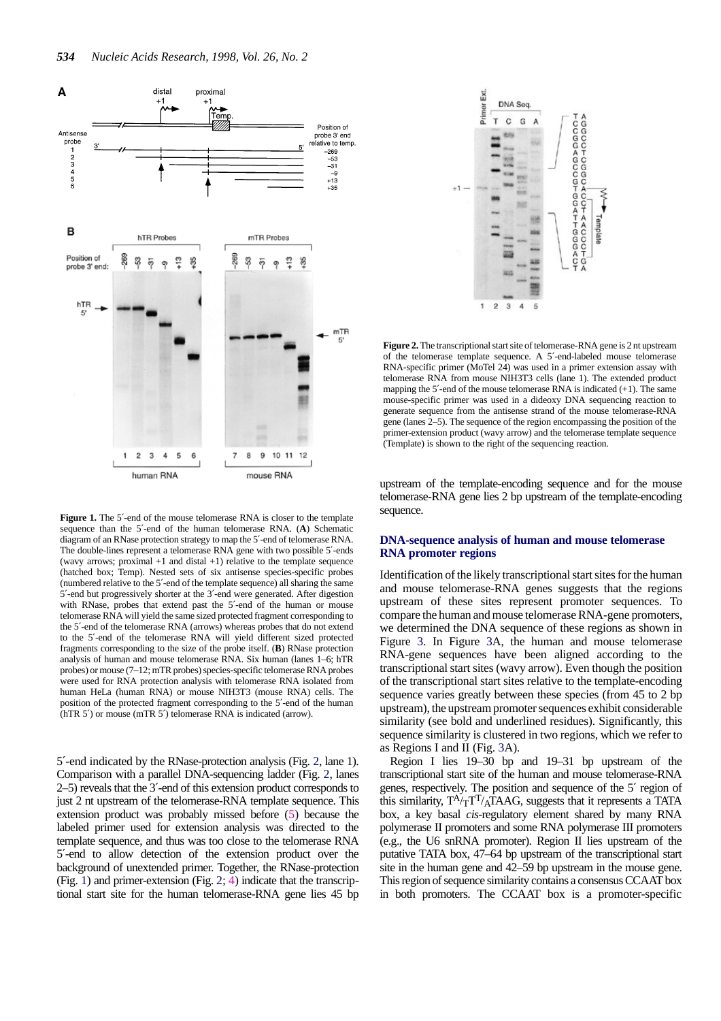

Figure 1. The 5'-end of the mouse telomerase RNA is closer to the template sequence than the 5′-end of the human telomerase RNA. (**A**) Schematic diagram of an RNase protection strategy to map the 5′-end of telomerase RNA. The double-lines represent a telomerase RNA gene with two possible 5′-ends (wavy arrows; proximal  $+1$  and distal  $+1$ ) relative to the template sequence (hatched box; Temp). Nested sets of six antisense species-specific probes (numbered relative to the 5′-end of the template sequence) all sharing the same 5′-end but progressively shorter at the 3′-end were generated. After digestion with RNase, probes that extend past the 5'-end of the human or mouse telomerase RNA will yield the same sized protected fragment corresponding to the 5′-end of the telomerase RNA (arrows) whereas probes that do not extend to the 5′-end of the telomerase RNA will yield different sized protected fragments corresponding to the size of the probe itself. (**B**) RNase protection analysis of human and mouse telomerase RNA. Six human (lanes 1–6; hTR probes) or mouse (7–12; mTR probes) species-specific telomerase RNA probes were used for RNA protection analysis with telomerase RNA isolated from human HeLa (human RNA) or mouse NIH3T3 (mouse RNA) cells. The position of the protected fragment corresponding to the 5′-end of the human (hTR 5′) or mouse (mTR 5′) telomerase RNA is indicated (arrow).

5′-end indicated by the RNase-protection analysis (Fig. 2, lane 1). Comparison with a parallel DNA-sequencing ladder (Fig. 2, lanes 2–5) reveals that the 3′-end of this extension product corresponds to just 2 nt upstream of the telomerase-RNA template sequence. This extension product was probably missed before (5) because the labeled primer used for extension analysis was directed to the template sequence, and thus was too close to the telomerase RNA 5′-end to allow detection of the extension product over the background of unextended primer. Together, the RNase-protection (Fig. 1) and primer-extension (Fig. 2; 4) indicate that the transcriptional start site for the human telomerase-RNA gene lies 45 bp



**Figure 2.** The transcriptional start site of telomerase-RNA gene is 2 nt upstream of the telomerase template sequence. A 5′-end-labeled mouse telomerase RNA-specific primer (MoTel 24) was used in a primer extension assay with telomerase RNA from mouse NIH3T3 cells (lane 1). The extended product mapping the  $5'$ -end of the mouse telomerase RNA is indicated  $(+1)$ . The same mouse-specific primer was used in a dideoxy DNA sequencing reaction to generate sequence from the antisense strand of the mouse telomerase-RNA gene (lanes 2–5). The sequence of the region encompassing the position of the primer-extension product (wavy arrow) and the telomerase template sequence (Template) is shown to the right of the sequencing reaction.

upstream of the template-encoding sequence and for the mouse telomerase-RNA gene lies 2 bp upstream of the template-encoding sequence.

# **DNA-sequence analysis of human and mouse telomerase RNA promoter regions**

Identification of the likely transcriptional start sites for the human and mouse telomerase-RNA genes suggests that the regions upstream of these sites represent promoter sequences. To compare the human and mouse telomerase RNA-gene promoters, we determined the DNA sequence of these regions as shown in Figure 3. In Figure 3A, the human and mouse telomerase RNA-gene sequences have been aligned according to the transcriptional start sites (wavy arrow). Even though the position of the transcriptional start sites relative to the template-encoding sequence varies greatly between these species (from 45 to 2 bp upstream), the upstream promoter sequences exhibit considerable similarity (see bold and underlined residues). Significantly, this sequence similarity is clustered in two regions, which we refer to as Regions I and II (Fig. 3A).

Region I lies 19–30 bp and 19–31 bp upstream of the transcriptional start site of the human and mouse telomerase-RNA genes, respectively. The position and sequence of the 5′ region of this similarity,  $T^A/T^T/A\bar{T}AAG$ , suggests that it represents a TATA box, a key basal *cis*-regulatory element shared by many RNA polymerase II promoters and some RNA polymerase III promoters (e.g., the U6 snRNA promoter). Region II lies upstream of the putative TATA box, 47–64 bp upstream of the transcriptional start site in the human gene and 42–59 bp upstream in the mouse gene. This region of sequence similarity contains a consensus CCAAT box in both promoters. The CCAAT box is a promoter-specific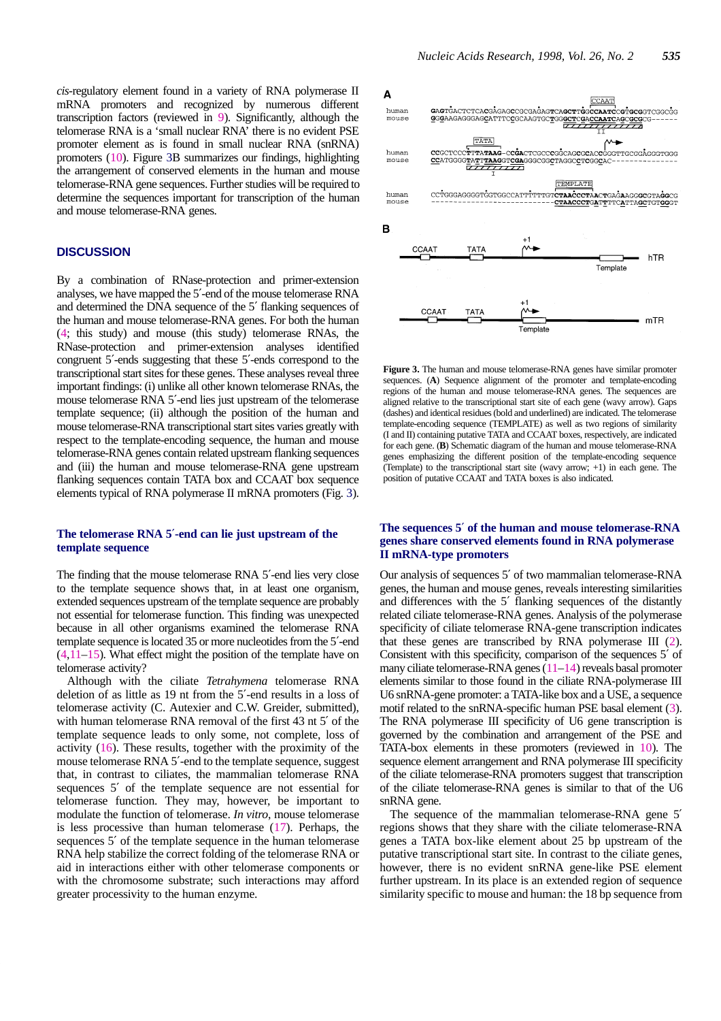*cis*-regulatory element found in a variety of RNA polymerase II mRNA promoters and recognized by numerous different transcription factors (reviewed in 9). Significantly, although the telomerase RNA is a 'small nuclear RNA' there is no evident PSE promoter element as is found in small nuclear RNA (snRNA) promoters (10). Figure 3B summarizes our findings, highlighting the arrangement of conserved elements in the human and mouse telomerase-RNA gene sequences. Further studies will be required to determine the sequences important for transcription of the human and mouse telomerase-RNA genes.

# **DISCUSSION**

By a combination of RNase-protection and primer-extension analyses, we have mapped the 5′-end of the mouse telomerase RNA and determined the DNA sequence of the 5′ flanking sequences of the human and mouse telomerase-RNA genes. For both the human (4; this study) and mouse (this study) telomerase RNAs, the RNase-protection and primer-extension analyses identified congruent 5′-ends suggesting that these 5′-ends correspond to the transcriptional start sites for these genes. These analyses reveal three important findings: (i) unlike all other known telomerase RNAs, the mouse telomerase RNA 5′-end lies just upstream of the telomerase template sequence; (ii) although the position of the human and mouse telomerase-RNA transcriptional start sites varies greatly with respect to the template-encoding sequence, the human and mouse telomerase-RNA genes contain related upstream flanking sequences and (iii) the human and mouse telomerase-RNA gene upstream flanking sequences contain TATA box and CCAAT box sequence elements typical of RNA polymerase II mRNA promoters (Fig. 3).

#### **The telomerase RNA 5**′**-end can lie just upstream of the template sequence**

The finding that the mouse telomerase RNA 5′-end lies very close to the template sequence shows that, in at least one organism, extended sequences upstream of the template sequence are probably not essential for telomerase function. This finding was unexpected because in all other organisms examined the telomerase RNA template sequence is located 35 or more nucleotides from the 5′-end  $(4,11-15)$ . What effect might the position of the template have on telomerase activity?

Although with the ciliate *Tetrahymena* telomerase RNA deletion of as little as 19 nt from the 5′-end results in a loss of telomerase activity (C. Autexier and C.W. Greider, submitted), with human telomerase RNA removal of the first 43 nt 5′ of the template sequence leads to only some, not complete, loss of activity (16). These results, together with the proximity of the mouse telomerase RNA 5′-end to the template sequence, suggest that, in contrast to ciliates, the mammalian telomerase RNA sequences 5′ of the template sequence are not essential for telomerase function. They may, however, be important to modulate the function of telomerase. *In vitro*, mouse telomerase is less processive than human telomerase (17). Perhaps, the sequences 5' of the template sequence in the human telomerase RNA help stabilize the correct folding of the telomerase RNA or aid in interactions either with other telomerase components or with the chromosome substrate; such interactions may afford greater processivity to the human enzyme.



**Figure 3.** The human and mouse telomerase-RNA genes have similar promoter sequences. (**A**) Sequence alignment of the promoter and template-encoding regions of the human and mouse telomerase-RNA genes. The sequences are aligned relative to the transcriptional start site of each gene (wavy arrow). Gaps (dashes) and identical residues (bold and underlined) are indicated. The telomerase template-encoding sequence (TEMPLATE) as well as two regions of similarity (I and II) containing putative TATA and CCAAT boxes, respectively, are indicated for each gene. (**B**) Schematic diagram of the human and mouse telomerase-RNA genes emphasizing the different position of the template-encoding sequence (Template) to the transcriptional start site (wavy arrow; +1) in each gene. The position of putative CCAAT and TATA boxes is also indicated.

#### **The sequences 5**′ **of the human and mouse telomerase-RNA genes share conserved elements found in RNA polymerase II mRNA-type promoters**

Our analysis of sequences 5′ of two mammalian telomerase-RNA genes, the human and mouse genes, reveals interesting similarities and differences with the 5′ flanking sequences of the distantly related ciliate telomerase-RNA genes. Analysis of the polymerase specificity of ciliate telomerase RNA-gene transcription indicates that these genes are transcribed by RNA polymerase III (2). Consistent with this specificity, comparison of the sequences 5′ of many ciliate telomerase-RNA genes (11–14) reveals basal promoter elements similar to those found in the ciliate RNA-polymerase III U6 snRNA-gene promoter: a TATA-like box and a USE, a sequence motif related to the snRNA-specific human PSE basal element (3). The RNA polymerase III specificity of U6 gene transcription is governed by the combination and arrangement of the PSE and TATA-box elements in these promoters (reviewed in 10). The sequence element arrangement and RNA polymerase III specificity of the ciliate telomerase-RNA promoters suggest that transcription of the ciliate telomerase-RNA genes is similar to that of the U6 snRNA gene.

The sequence of the mammalian telomerase-RNA gene 5′ regions shows that they share with the ciliate telomerase-RNA genes a TATA box-like element about 25 bp upstream of the putative transcriptional start site. In contrast to the ciliate genes, however, there is no evident snRNA gene-like PSE element further upstream. In its place is an extended region of sequence similarity specific to mouse and human: the 18 bp sequence from